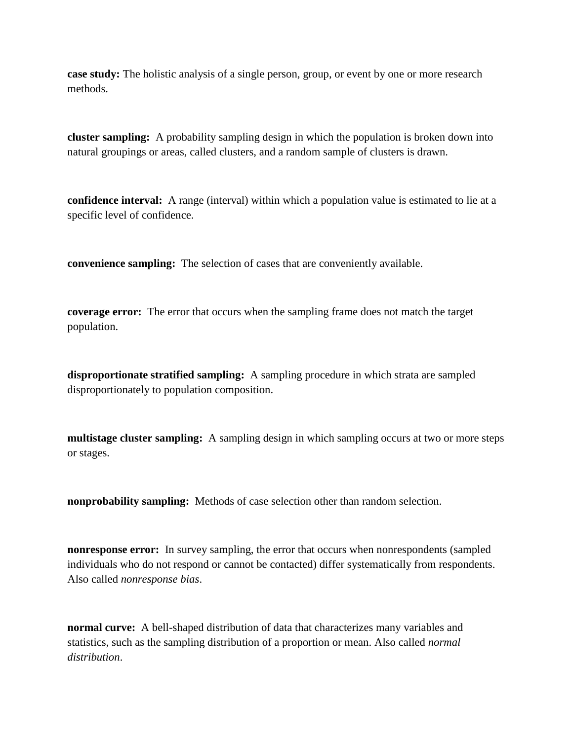**case study:** The holistic analysis of a single person, group, or event by one or more research methods.

**cluster sampling:** A probability sampling design in which the population is broken down into natural groupings or areas, called clusters, and a random sample of clusters is drawn.

**confidence interval:** A range (interval) within which a population value is estimated to lie at a specific level of confidence.

**convenience sampling:** The selection of cases that are conveniently available.

**coverage error:** The error that occurs when the sampling frame does not match the target population.

**disproportionate stratified sampling:** A sampling procedure in which strata are sampled disproportionately to population composition.

**multistage cluster sampling:** A sampling design in which sampling occurs at two or more steps or stages.

**nonprobability sampling:** Methods of case selection other than random selection.

**nonresponse error:** In survey sampling, the error that occurs when nonrespondents (sampled individuals who do not respond or cannot be contacted) differ systematically from respondents. Also called *nonresponse bias*.

**normal curve:** A bell-shaped distribution of data that characterizes many variables and statistics, such as the sampling distribution of a proportion or mean. Also called *normal distribution*.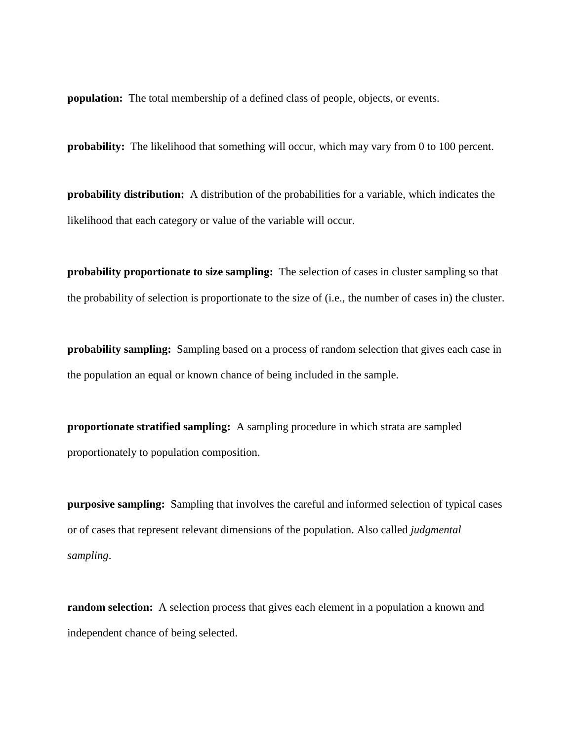**population:** The total membership of a defined class of people, objects, or events.

**probability:** The likelihood that something will occur, which may vary from 0 to 100 percent.

**probability distribution:** A distribution of the probabilities for a variable, which indicates the likelihood that each category or value of the variable will occur.

**probability proportionate to size sampling:** The selection of cases in cluster sampling so that the probability of selection is proportionate to the size of (i.e., the number of cases in) the cluster.

**probability sampling:** Sampling based on a process of random selection that gives each case in the population an equal or known chance of being included in the sample.

**proportionate stratified sampling:** A sampling procedure in which strata are sampled proportionately to population composition.

**purposive sampling:** Sampling that involves the careful and informed selection of typical cases or of cases that represent relevant dimensions of the population. Also called *judgmental sampling*.

**random selection:** A selection process that gives each element in a population a known and independent chance of being selected.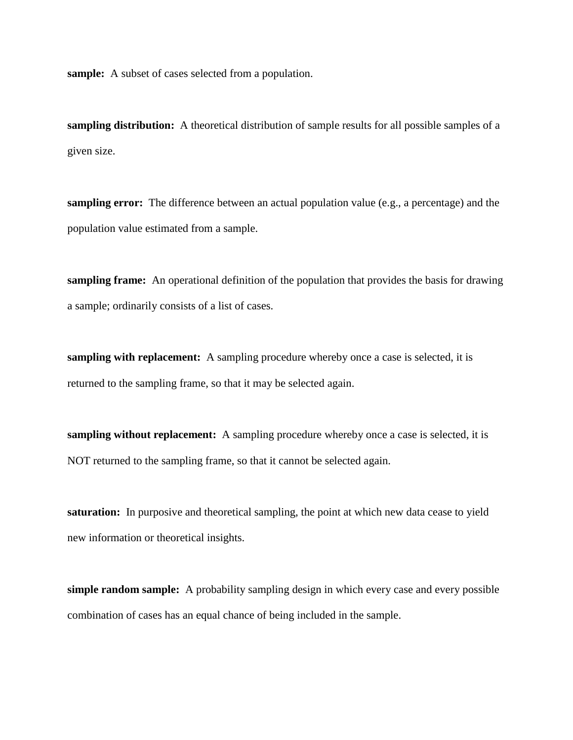**sample:** A subset of cases selected from a population.

**sampling distribution:** A theoretical distribution of sample results for all possible samples of a given size.

**sampling error:** The difference between an actual population value (e.g., a percentage) and the population value estimated from a sample.

**sampling frame:** An operational definition of the population that provides the basis for drawing a sample; ordinarily consists of a list of cases.

**sampling with replacement:** A sampling procedure whereby once a case is selected, it is returned to the sampling frame, so that it may be selected again.

**sampling without replacement:** A sampling procedure whereby once a case is selected, it is NOT returned to the sampling frame, so that it cannot be selected again.

**saturation:** In purposive and theoretical sampling, the point at which new data cease to yield new information or theoretical insights.

**simple random sample:** A probability sampling design in which every case and every possible combination of cases has an equal chance of being included in the sample.